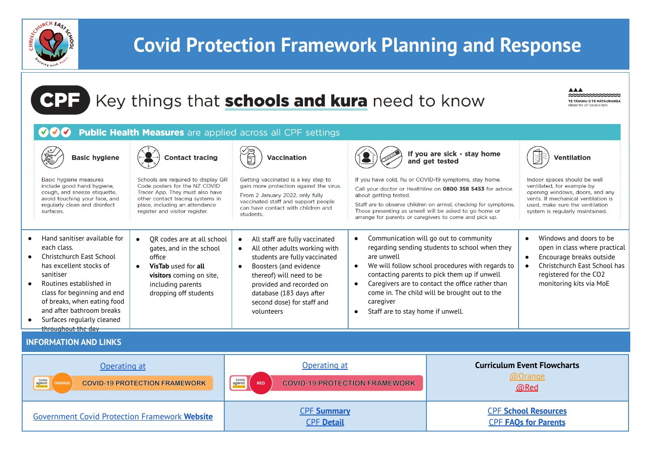

**CPF** 

## **Covid Protection Framework Planning and Response**

## Key things that schools and kura need to know

**AAA** \*\*\*\*\*\*\*\*\*\*\*\*\*\*\* **TE TÄHUHU O TE MÄTAURANGA** MINISTRY OF EDUCATION

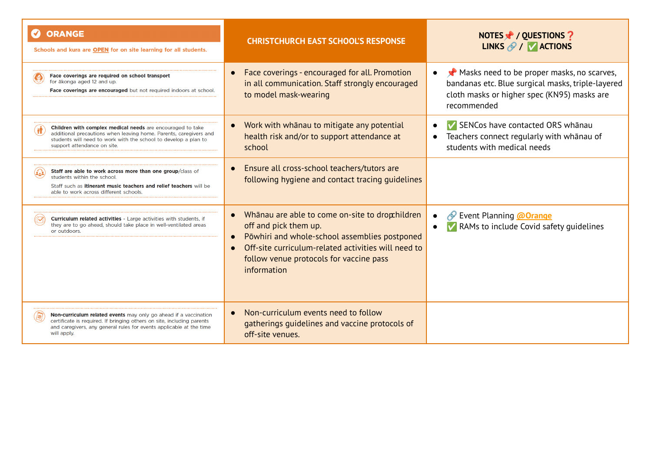| <b>ORANGE</b><br>Schools and kura are OPEN for on site learning for all students.                                                                                                                                                        | <b>CHRISTCHURCH EAST SCHOOL'S RESPONSE</b>                                                                                                                                                                                                | NOTES Y / QUESTIONS ?<br>LINKS $\mathscr{D}$ / $\triangledown$ ACTIONS                                                                                        |
|------------------------------------------------------------------------------------------------------------------------------------------------------------------------------------------------------------------------------------------|-------------------------------------------------------------------------------------------------------------------------------------------------------------------------------------------------------------------------------------------|---------------------------------------------------------------------------------------------------------------------------------------------------------------|
| Face coverings are required on school transport<br>for ākonga aged 12 and up.<br><b>Face coverings are encouraged</b> but not required indoors at school.                                                                                | Face coverings - encouraged for all. Promotion<br>in all communication. Staff strongly encouraged<br>to model mask-wearing                                                                                                                | Masks need to be proper masks, no scarves,<br>bandanas etc. Blue surgical masks, triple-layered<br>cloth masks or higher spec (KN95) masks are<br>recommended |
| <b>Children with complex medical needs</b> are encouraged to take<br>additional precautions when leaving home. Parents, caregivers and<br>students will need to work with the school to develop a plan to<br>support attendance on site. | Work with whanau to mitigate any potential<br>health risk and/or to support attendance at<br>school                                                                                                                                       | SENCos have contacted ORS whanau<br>Teachers connect regularly with whānau of<br>students with medical needs                                                  |
| Staff are able to work across more than one group/class of<br>students within the school.<br>Staff such as itinerant music teachers and relief teachers will be<br>able to work across different schools                                 | Ensure all cross-school teachers/tutors are<br>following hygiene and contact tracing guidelines                                                                                                                                           |                                                                                                                                                               |
| <b>Curriculum related activities</b> - Large activities with students, if<br>they are to go ahead, should take place in well-ventilated areas<br>or outdoors.                                                                            | Whanau are able to come on-site to drophildren<br>off and pick them up.<br>Pōwhiri and whole-school assemblies postponed<br>Off-site curriculum-related activities will need to<br>follow venue protocols for vaccine pass<br>information | <b><i>S</i></b> Event Planning <b>@Orange</b><br>V RAMs to include Covid safety quidelines                                                                    |
| Non-curriculum related events may only go ahead if a vaccination<br>certificate is required. If bringing others on site, including parents<br>and caregivers, any general rules for events applicable at the time<br>will apply.         | Non-curriculum events need to follow<br>gatherings guidelines and vaccine protocols of<br>off-site venues.                                                                                                                                |                                                                                                                                                               |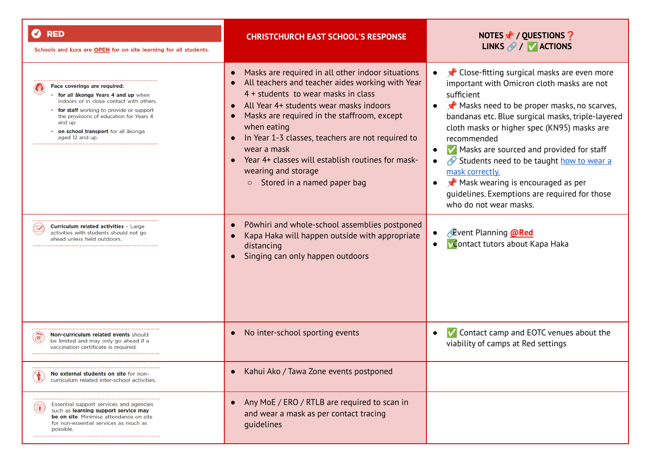| <b>RED</b><br>Schools and kura are OPEN for on site learning for all students.                                                                                                                                                                                         | <b>CHRISTCHURCH EAST SCHOOL'S RESPONSE</b>                                                                                                                                                                                                                                                                                                                                                                                                                   | NOTES / QUESTIONS ?<br>LINKS $\mathscr{P}$ / $\mathsf{V}$ ACTIONS                                                                                                                                                                                                                                                                                                                                                                                                                                               |
|------------------------------------------------------------------------------------------------------------------------------------------------------------------------------------------------------------------------------------------------------------------------|--------------------------------------------------------------------------------------------------------------------------------------------------------------------------------------------------------------------------------------------------------------------------------------------------------------------------------------------------------------------------------------------------------------------------------------------------------------|-----------------------------------------------------------------------------------------------------------------------------------------------------------------------------------------------------------------------------------------------------------------------------------------------------------------------------------------------------------------------------------------------------------------------------------------------------------------------------------------------------------------|
| Face coverings are required:<br>for all akonga Years 4 and up when<br>indoors or in close contact with others<br>for staff working to provide or support<br>the provisions of education for Years 4<br>and up<br>on school transport for all akonga<br>aged 12 and up. | Masks are required in all other indoor situations<br>All teachers and teacher aides working with Year<br>4 + students to wear masks in class<br>All Year 4+ students wear masks indoors<br>Masks are required in the staffroom, except<br>when eating<br>In Year 1-3 classes, teachers are not required to<br>$\bullet$<br>wear a mask<br>Year 4+ classes will establish routines for mask-<br>wearing and storage<br>Stored in a named paper bag<br>$\circ$ | Close-fitting surgical masks are even more<br>important with Omicron cloth masks are not<br>sufficient<br>Masks need to be proper masks, no scarves,<br>bandanas etc. Blue surgical masks, triple-layered<br>cloth masks or higher spec (KN95) masks are<br>recommended<br>Masks are sourced and provided for staff<br>$\bullet$<br>Students need to be taught how to wear a<br>mask correctly.<br>Mask wearing is encouraged as per<br>quidelines. Exemptions are required for those<br>who do not wear masks. |
| <b>Curriculum related activities - Large</b><br>activities with students should not go<br>ahead unless held outdoors.                                                                                                                                                  | Pōwhiri and whole-school assemblies postponed<br>Kapa Haka will happen outside with appropriate<br>distancing<br>Singing can only happen outdoors                                                                                                                                                                                                                                                                                                            | <b>Event Planning @Red</b><br>Contact tutors about Kapa Haka                                                                                                                                                                                                                                                                                                                                                                                                                                                    |
| <b>Non-curriculum related events should</b><br>$\mathbb{Z}$<br>be limited and may only go ahead if a<br>vaccination certificate is required.                                                                                                                           | No inter-school sporting events<br>$\bullet$                                                                                                                                                                                                                                                                                                                                                                                                                 | $\sqrt{\phantom{a}}$ Contact camp and EOTC venues about the<br>$\bullet$<br>viability of camps at Red settings                                                                                                                                                                                                                                                                                                                                                                                                  |
| No external students on site for non-<br>curriculum related inter-school activities.                                                                                                                                                                                   | Kahui Ako / Tawa Zone events postponed                                                                                                                                                                                                                                                                                                                                                                                                                       |                                                                                                                                                                                                                                                                                                                                                                                                                                                                                                                 |
| Essential support services and agencies<br>$(\widehat{\mathbf{r}})$<br>such as learning support service may<br>be on site. Minimise attendance on site<br>for non-essential services as much as<br>possible.                                                           | Any MoE / ERO / RTLB are required to scan in<br>and wear a mask as per contact tracing<br>guidelines                                                                                                                                                                                                                                                                                                                                                         |                                                                                                                                                                                                                                                                                                                                                                                                                                                                                                                 |